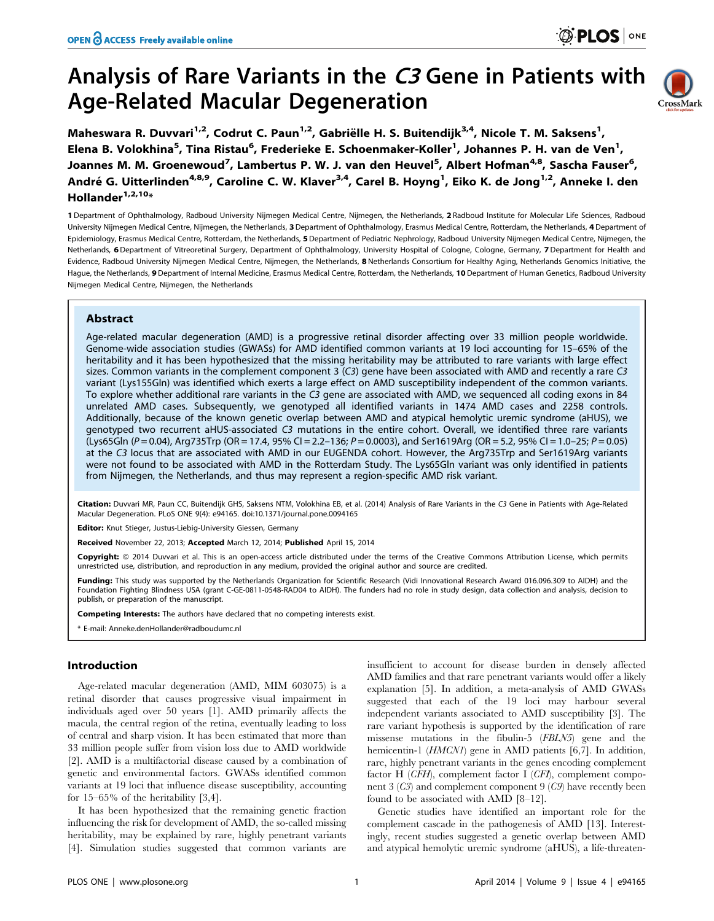# Analysis of Rare Variants in the C3 Gene in Patients with Age-Related Macular Degeneration



Maheswara R. Duvvari<sup>1,2</sup>, Codrut C. Paun<sup>1,2</sup>, Gabriëlle H. S. Buitendijk<sup>3,4</sup>, Nicole T. M. Saksens<sup>1</sup>, Elena B. Volokhina<sup>5</sup>, Tina Ristau<sup>6</sup>, Frederieke E. Schoenmaker-Koller<sup>1</sup>, Johannes P. H. van de Ven<sup>1</sup>, Joannes M. M. Groenewoud<sup>7</sup>, Lambertus P. W. J. van den Heuvel<sup>5</sup>, Albert Hofman<sup>4,8</sup>, Sascha Fauser<sup>6</sup>, André G. Uitterlinden<sup>4,8,9</sup>, Caroline C. W. Klaver<sup>3,4</sup>, Carel B. Hoyng<sup>1</sup>, Eiko K. de Jong<sup>1,2</sup>, Anneke I. den Hollander $1,2,10*$ 

1 Department of Ophthalmology, Radboud University Nijmegen Medical Centre, Nijmegen, the Netherlands, 2 Radboud Institute for Molecular Life Sciences, Radboud University Nijmegen Medical Centre, Nijmegen, the Netherlands, 3Department of Ophthalmology, Erasmus Medical Centre, Rotterdam, the Netherlands, 4 Department of Epidemiology, Erasmus Medical Centre, Rotterdam, the Netherlands, 5 Department of Pediatric Nephrology, Radboud University Nijmegen Medical Centre, Nijmegen, the Netherlands, 6 Department of Vitreoretinal Surgery, Department of Ophthalmology, University Hospital of Cologne, Cologne, Germany, 7 Department for Health and Evidence, Radboud University Nijmegen Medical Centre, Nijmegen, the Netherlands, 8 Netherlands Consortium for Healthy Aging, Netherlands Genomics Initiative, the Hague, the Netherlands, 9 Department of Internal Medicine, Erasmus Medical Centre, Rotterdam, the Netherlands, 10 Department of Human Genetics, Radboud University Nijmegen Medical Centre, Nijmegen, the Netherlands

## Abstract

Age-related macular degeneration (AMD) is a progressive retinal disorder affecting over 33 million people worldwide. Genome-wide association studies (GWASs) for AMD identified common variants at 19 loci accounting for 15–65% of the heritability and it has been hypothesized that the missing heritability may be attributed to rare variants with large effect sizes. Common variants in the complement component 3 (C3) gene have been associated with AMD and recently a rare C3 variant (Lys155Gln) was identified which exerts a large effect on AMD susceptibility independent of the common variants. To explore whether additional rare variants in the C3 gene are associated with AMD, we sequenced all coding exons in 84 unrelated AMD cases. Subsequently, we genotyped all identified variants in 1474 AMD cases and 2258 controls. Additionally, because of the known genetic overlap between AMD and atypical hemolytic uremic syndrome (aHUS), we genotyped two recurrent aHUS-associated C3 mutations in the entire cohort. Overall, we identified three rare variants (Lys65Gln (P = 0.04), Arg735Trp (OR = 17.4, 95% CI = 2.2-136; P = 0.0003), and Ser1619Arg (OR = 5.2, 95% CI = 1.0-25; P = 0.05) at the C3 locus that are associated with AMD in our EUGENDA cohort. However, the Arg735Trp and Ser1619Arg variants were not found to be associated with AMD in the Rotterdam Study. The Lys65Gln variant was only identified in patients from Nijmegen, the Netherlands, and thus may represent a region-specific AMD risk variant.

Citation: Duvvari MR, Paun CC, Buitendijk GHS, Saksens NTM, Volokhina EB, et al. (2014) Analysis of Rare Variants in the C3 Gene in Patients with Age-Related Macular Degeneration. PLoS ONE 9(4): e94165. doi:10.1371/journal.pone.0094165

Editor: Knut Stieger, Justus-Liebig-University Giessen, Germany

Received November 22, 2013; Accepted March 12, 2014; Published April 15, 2014

Copyright: © 2014 Duvvari et al. This is an open-access article distributed under the terms of the [Creative Commons Attribution License,](http://creativecommons.org/licenses/by/4.0/) which permits unrestricted use, distribution, and reproduction in any medium, provided the original author and source are credited.

Funding: This study was supported by the Netherlands Organization for Scientific Research (Vidi Innovational Research Award 016.096.309 to AIDH) and the Foundation Fighting Blindness USA (grant C-GE-0811-0548-RAD04 to AIDH). The funders had no role in study design, data collection and analysis, decision to publish, or preparation of the manuscript.

Competing Interests: The authors have declared that no competing interests exist.

\* E-mail: Anneke.denHollander@radboudumc.nl

## Introduction

Age-related macular degeneration (AMD, MIM 603075) is a retinal disorder that causes progressive visual impairment in individuals aged over 50 years [1]. AMD primarily affects the macula, the central region of the retina, eventually leading to loss of central and sharp vision. It has been estimated that more than 33 million people suffer from vision loss due to AMD worldwide [2]. AMD is a multifactorial disease caused by a combination of genetic and environmental factors. GWASs identified common variants at 19 loci that influence disease susceptibility, accounting for 15–65% of the heritability [3,4].

It has been hypothesized that the remaining genetic fraction influencing the risk for development of AMD, the so-called missing heritability, may be explained by rare, highly penetrant variants [4]. Simulation studies suggested that common variants are

insufficient to account for disease burden in densely affected AMD families and that rare penetrant variants would offer a likely explanation [5]. In addition, a meta-analysis of AMD GWASs suggested that each of the 19 loci may harbour several independent variants associated to AMD susceptibility [3]. The rare variant hypothesis is supported by the identification of rare missense mutations in the fibulin-5 (FBLN5) gene and the hemicentin-1 (*HMCN1*) gene in AMD patients [6,7]. In addition, rare, highly penetrant variants in the genes encoding complement factor H (CFH), complement factor I (CFI), complement component 3 (C3) and complement component 9 (C9) have recently been found to be associated with AMD [8–12].

Genetic studies have identified an important role for the complement cascade in the pathogenesis of AMD [13]. Interestingly, recent studies suggested a genetic overlap between AMD and atypical hemolytic uremic syndrome (aHUS), a life-threaten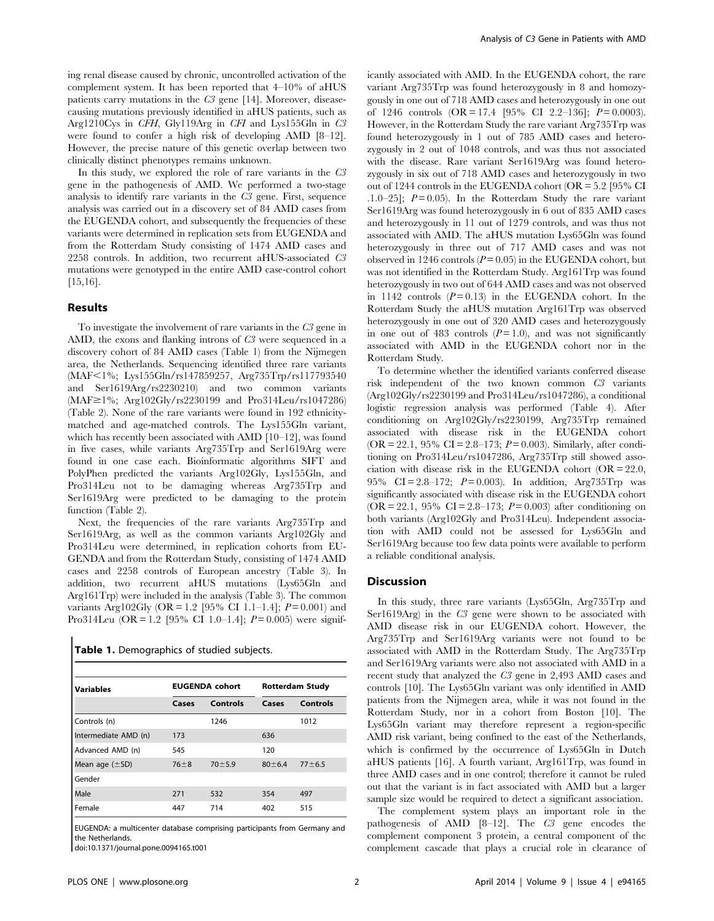ing renal disease caused by chronic, uncontrolled activation of the complement system. It has been reported that 4–10% of aHUS patients carry mutations in the C3 gene [14]. Moreover, diseasecausing mutations previously identified in aHUS patients, such as Arg1210Cys in CFH, Gly119Arg in CFI and Lys155Gln in C3 were found to confer a high risk of developing AMD [8–12]. However, the precise nature of this genetic overlap between two clinically distinct phenotypes remains unknown.

In this study, we explored the role of rare variants in the C3 gene in the pathogenesis of AMD. We performed a two-stage analysis to identify rare variants in the C3 gene. First, sequence analysis was carried out in a discovery set of 84 AMD cases from the EUGENDA cohort, and subsequently the frequencies of these variants were determined in replication sets from EUGENDA and from the Rotterdam Study consisting of 1474 AMD cases and 2258 controls. In addition, two recurrent aHUS-associated C3 mutations were genotyped in the entire AMD case-control cohort [15,16].

## Results

To investigate the involvement of rare variants in the C3 gene in AMD, the exons and flanking introns of C3 were sequenced in a discovery cohort of 84 AMD cases (Table 1) from the Nijmegen area, the Netherlands. Sequencing identified three rare variants (MAF<1%; Lys155Gln/rs147859257, Arg735Trp/rs117793540 and Ser1619Arg/rs2230210) and two common variants (MAF≥1%; Arg102Gly/rs2230199 and Pro314Leu/rs1047286) (Table 2). None of the rare variants were found in 192 ethnicitymatched and age-matched controls. The Lys155Gln variant, which has recently been associated with AMD [10–12], was found in five cases, while variants Arg735Trp and Ser1619Arg were found in one case each. Bioinformatic algorithms SIFT and PolyPhen predicted the variants Arg102Gly, Lys155Gln, and Pro314Leu not to be damaging whereas Arg735Trp and Ser1619Arg were predicted to be damaging to the protein function (Table 2).

Next, the frequencies of the rare variants Arg735Trp and Ser1619Arg, as well as the common variants Arg102Gly and Pro314Leu were determined, in replication cohorts from EU-GENDA and from the Rotterdam Study, consisting of 1474 AMD cases and 2258 controls of European ancestry (Table 3). In addition, two recurrent aHUS mutations (Lys65Gln and Arg161Trp) were included in the analysis (Table 3). The common variants Arg102Gly (OR = 1.2 [95% CI 1.1–1.4];  $P = 0.001$ ) and Pro314Leu (OR = 1.2 [95% CI 1.0–1.4];  $P = 0.005$ ) were signif-

Table 1. Demographics of studied subjects.

| <b>Variables</b>     |          | <b>EUGENDA cohort</b> | <b>Rotterdam Study</b> |            |
|----------------------|----------|-----------------------|------------------------|------------|
|                      | Cases    | Controls              | Cases                  | Controls   |
| Controls (n)         |          | 1246                  |                        | 1012       |
| Intermediate AMD (n) | 173      |                       | 636                    |            |
| Advanced AMD (n)     | 545      |                       | 120                    |            |
| Mean age $(\pm SD)$  | $76 + 8$ | $70 + 5.9$            | $80 \pm 6.4$           | $77 + 6.5$ |
| Gender               |          |                       |                        |            |
| Male                 | 271      | 532                   | 354                    | 497        |
| Female               | 447      | 714                   | 402                    | 515        |

EUGENDA: a multicenter database comprising participants from Germany and the Netherlands.

doi:10.1371/journal.pone.0094165.t001

icantly associated with AMD. In the EUGENDA cohort, the rare variant Arg735Trp was found heterozygously in 8 and homozygously in one out of 718 AMD cases and heterozygously in one out of 1246 controls  $(OR = 17.4 \quad [95\% \quad CI \quad 2.2-136]; \quad P = 0.0003)$ . However, in the Rotterdam Study the rare variant Arg735Trp was found heterozygously in 1 out of 785 AMD cases and heterozygously in 2 out of 1048 controls, and was thus not associated with the disease. Rare variant Ser1619Arg was found heterozygously in six out of 718 AMD cases and heterozygously in two out of 1244 controls in the EUGENDA cohort (OR = 5.2 [95% CI .1.0–25];  $P=0.05$ . In the Rotterdam Study the rare variant Ser1619Arg was found heterozygously in 6 out of 835 AMD cases and heterozygously in 11 out of 1279 controls, and was thus not associated with AMD. The aHUS mutation Lys65Gln was found heterozygously in three out of 717 AMD cases and was not observed in 1246 controls  $(P = 0.05)$  in the EUGENDA cohort, but was not identified in the Rotterdam Study. Arg161Trp was found heterozygously in two out of 644 AMD cases and was not observed in 1142 controls  $(P = 0.13)$  in the EUGENDA cohort. In the Rotterdam Study the aHUS mutation Arg161Trp was observed heterozygously in one out of 320 AMD cases and heterozygously in one out of 483 controls  $(P=1.0)$ , and was not significantly associated with AMD in the EUGENDA cohort nor in the Rotterdam Study.

To determine whether the identified variants conferred disease risk independent of the two known common C3 variants (Arg102Gly/rs2230199 and Pro314Leu/rs1047286), a conditional logistic regression analysis was performed (Table 4). After conditioning on Arg102Gly/rs2230199, Arg735Trp remained associated with disease risk in the EUGENDA cohort (OR = 22.1, 95% CI = 2.8–173;  $P = 0.003$ ). Similarly, after conditioning on Pro314Leu/rs1047286, Arg735Trp still showed association with disease risk in the EUGENDA cohort (OR = 22.0, 95% CI = 2.8–172;  $P = 0.003$ . In addition, Arg735Trp was significantly associated with disease risk in the EUGENDA cohort (OR = 22.1, 95% CI = 2.8–173;  $P = 0.003$ ) after conditioning on both variants (Arg102Gly and Pro314Leu). Independent association with AMD could not be assessed for Lys65Gln and Ser1619Arg because too few data points were available to perform a reliable conditional analysis.

#### **Discussion**

In this study, three rare variants (Lys65Gln, Arg735Trp and Ser1619Arg) in the C3 gene were shown to be associated with AMD disease risk in our EUGENDA cohort. However, the Arg735Trp and Ser1619Arg variants were not found to be associated with AMD in the Rotterdam Study. The Arg735Trp and Ser1619Arg variants were also not associated with AMD in a recent study that analyzed the C3 gene in 2,493 AMD cases and controls [10]. The Lys65Gln variant was only identified in AMD patients from the Nijmegen area, while it was not found in the Rotterdam Study, nor in a cohort from Boston [10]. The Lys65Gln variant may therefore represent a region-specific AMD risk variant, being confined to the east of the Netherlands, which is confirmed by the occurrence of Lys65Gln in Dutch aHUS patients [16]. A fourth variant, Arg161Trp, was found in three AMD cases and in one control; therefore it cannot be ruled out that the variant is in fact associated with AMD but a larger sample size would be required to detect a significant association.

The complement system plays an important role in the pathogenesis of AMD [8–12]. The C3 gene encodes the complement component 3 protein, a central component of the complement cascade that plays a crucial role in clearance of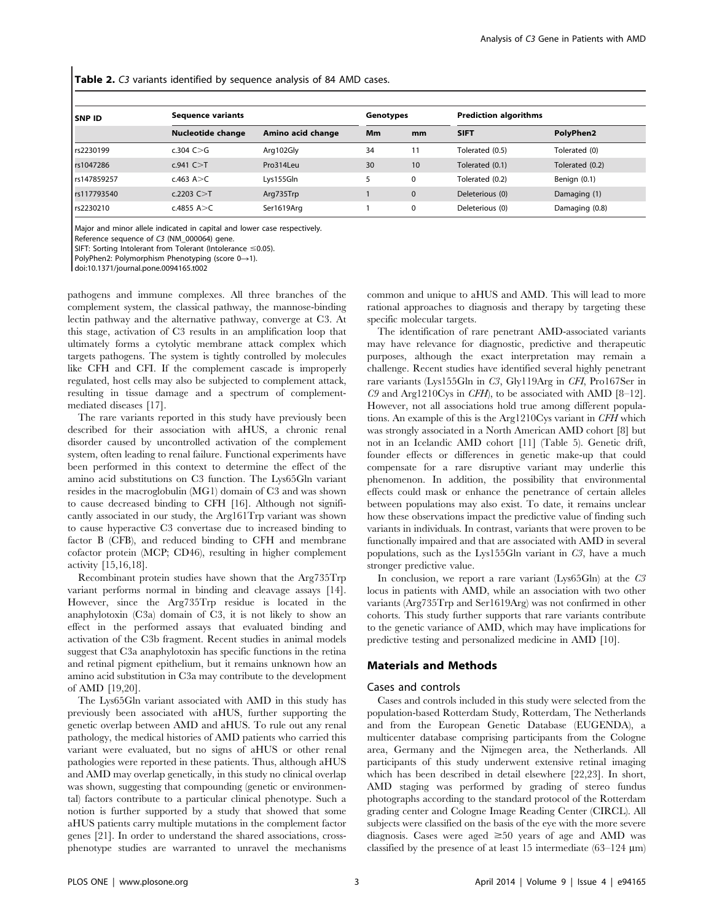Table 2. C3 variants identified by sequence analysis of 84 AMD cases.

| <b>SNP ID</b> | <b>Sequence variants</b> |                   |     | Genotypes   | <b>Prediction algorithms</b> |                 |
|---------------|--------------------------|-------------------|-----|-------------|------------------------------|-----------------|
|               | Nucleotide change        | Amino acid change | Mm. | mm          | <b>SIFT</b>                  | PolyPhen2       |
| rs2230199     | c.304 $C > G$            | Arg102Gly         | 34  |             | Tolerated (0.5)              | Tolerated (0)   |
| rs1047286     | $c.941$ C $>$ T          | Pro314Leu         | 30  | 10          | Tolerated (0.1)              | Tolerated (0.2) |
| rs147859257   | $c.463$ A $>$ C          | Lys155Gln         |     | 0           | Tolerated (0.2)              | Benign (0.1)    |
| rs117793540   | c.2203 $C > T$           | Arg735Trp         |     | $\mathbf 0$ | Deleterious (0)              | Damaging (1)    |
| rs2230210     | c.4855 $A > C$           | Ser1619Arg        |     | 0           | Deleterious (0)              | Damaging (0.8)  |

Major and minor allele indicated in capital and lower case respectively.

Reference sequence of C3 (NM\_000064) gene.

SIFT: Sorting Intolerant from Tolerant (Intolerance  $\leq$ 0.05).

PolyPhen2: Polymorphism Phenotyping (score  $0\rightarrow 1$ ).

doi:10.1371/journal.pone.0094165.t002

pathogens and immune complexes. All three branches of the complement system, the classical pathway, the mannose-binding lectin pathway and the alternative pathway, converge at C3. At this stage, activation of C3 results in an amplification loop that ultimately forms a cytolytic membrane attack complex which targets pathogens. The system is tightly controlled by molecules like CFH and CFI. If the complement cascade is improperly regulated, host cells may also be subjected to complement attack, resulting in tissue damage and a spectrum of complementmediated diseases [17].

The rare variants reported in this study have previously been described for their association with aHUS, a chronic renal disorder caused by uncontrolled activation of the complement system, often leading to renal failure. Functional experiments have been performed in this context to determine the effect of the amino acid substitutions on C3 function. The Lys65Gln variant resides in the macroglobulin (MG1) domain of C3 and was shown to cause decreased binding to CFH [16]. Although not significantly associated in our study, the Arg161Trp variant was shown to cause hyperactive C3 convertase due to increased binding to factor B (CFB), and reduced binding to CFH and membrane cofactor protein (MCP; CD46), resulting in higher complement activity [15,16,18].

Recombinant protein studies have shown that the Arg735Trp variant performs normal in binding and cleavage assays [14]. However, since the Arg735Trp residue is located in the anaphylotoxin (C3a) domain of C3, it is not likely to show an effect in the performed assays that evaluated binding and activation of the C3b fragment. Recent studies in animal models suggest that C3a anaphylotoxin has specific functions in the retina and retinal pigment epithelium, but it remains unknown how an amino acid substitution in C3a may contribute to the development of AMD [19,20].

The Lys65Gln variant associated with AMD in this study has previously been associated with aHUS, further supporting the genetic overlap between AMD and aHUS. To rule out any renal pathology, the medical histories of AMD patients who carried this variant were evaluated, but no signs of aHUS or other renal pathologies were reported in these patients. Thus, although aHUS and AMD may overlap genetically, in this study no clinical overlap was shown, suggesting that compounding (genetic or environmental) factors contribute to a particular clinical phenotype. Such a notion is further supported by a study that showed that some aHUS patients carry multiple mutations in the complement factor genes [21]. In order to understand the shared associations, crossphenotype studies are warranted to unravel the mechanisms common and unique to aHUS and AMD. This will lead to more rational approaches to diagnosis and therapy by targeting these specific molecular targets.

The identification of rare penetrant AMD-associated variants may have relevance for diagnostic, predictive and therapeutic purposes, although the exact interpretation may remain a challenge. Recent studies have identified several highly penetrant rare variants (Lys155Gln in C3, Gly119Arg in CFI, Pro167Ser in C9 and Arg1210Cys in CFH), to be associated with AMD [8–12]. However, not all associations hold true among different populations. An example of this is the Arg1210Cys variant in CFH which was strongly associated in a North American AMD cohort [8] but not in an Icelandic AMD cohort [11] (Table 5). Genetic drift, founder effects or differences in genetic make-up that could compensate for a rare disruptive variant may underlie this phenomenon. In addition, the possibility that environmental effects could mask or enhance the penetrance of certain alleles between populations may also exist. To date, it remains unclear how these observations impact the predictive value of finding such variants in individuals. In contrast, variants that were proven to be functionally impaired and that are associated with AMD in several populations, such as the Lys155Gln variant in C3, have a much stronger predictive value.

In conclusion, we report a rare variant (Lys65Gln) at the C3 locus in patients with AMD, while an association with two other variants (Arg735Trp and Ser1619Arg) was not confirmed in other cohorts. This study further supports that rare variants contribute to the genetic variance of AMD, which may have implications for predictive testing and personalized medicine in AMD [10].

## Materials and Methods

#### Cases and controls

Cases and controls included in this study were selected from the population-based Rotterdam Study, Rotterdam, The Netherlands and from the European Genetic Database (EUGENDA), a multicenter database comprising participants from the Cologne area, Germany and the Nijmegen area, the Netherlands. All participants of this study underwent extensive retinal imaging which has been described in detail elsewhere [22,23]. In short, AMD staging was performed by grading of stereo fundus photographs according to the standard protocol of the Rotterdam grading center and Cologne Image Reading Center (CIRCL). All subjects were classified on the basis of the eye with the more severe diagnosis. Cases were aged  $\geq 50$  years of age and AMD was classified by the presence of at least 15 intermediate  $(63-124 \text{ }\mu\text{m})$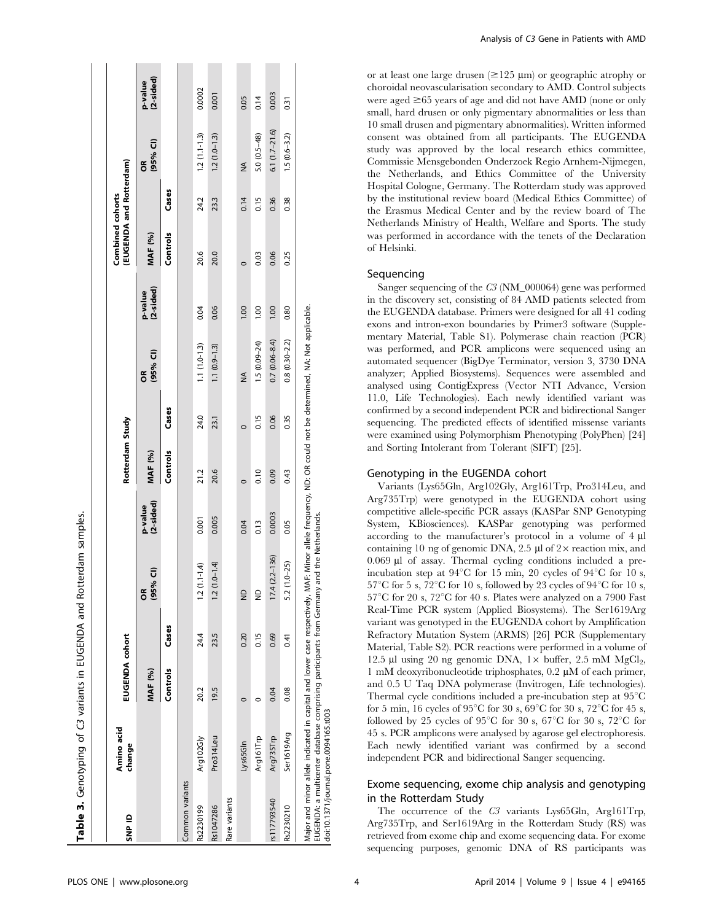| (2-sided)<br>p-value<br>0.0002<br>0.003<br>0.001<br>0.14<br>0.05<br>0.31<br>$6.1(1.7-21.6)$<br>$1.2(1.1-1.3)$<br>$1.2(1.0 - 1.3)$<br>$1.5(0.6-3.2)$<br>$5.0(0.5-48)$<br>$(95%$ Cl)<br>õ<br>≸<br>Cases<br>24.2<br>0.15<br>0.36<br>0.38<br>23.3<br>0.14<br>Controls<br>MAF (%)<br>20.6<br>20.0<br>0.06<br>0.25<br>0.03<br>$\circ$<br>(2-sided)<br>p-value<br>1.00<br>0.04<br>0.06<br>00.1<br>00.1<br>0.80<br>$0.7(0.06 - 8.4)$<br>$0.8(0.30 - 2.2)$<br>$1.5(0.09 - 24)$<br>$1.1(1.0-1.3)$<br>$1.1(0.9-1.3)$<br>$(95%$ CI)<br>õ<br>≸<br>Cases<br>24.0<br>0.06<br>0.15<br>0.35<br>23.1<br>$\circ$<br>Controls<br><b>MAF</b> (%)<br>21.2<br>20.6<br>0.09<br>0.10<br>0.43<br>$\circ$<br>(2-sided)<br>p-value<br>0.0003<br>0.005<br>0.001<br>0.04<br>0.13<br>0.05<br>$17.4(2.2 - 136)$<br>$(1.0 - 1.4)$<br>$5.2(1.0-25)$<br>$(1.1 - 1.4)$<br>(95% CI)<br>õ<br>$\supseteq$<br>g<br>$\overline{12}$<br>$\overline{2}$<br>Cases<br>24.4<br>0.69<br>23.5<br>0.15<br>0.20<br>0.41<br>Controls<br>MAF <sup>(%)</sup><br>19.5<br>0.08<br>20.2<br>0.04<br>$\circ$<br>O<br>Ser1619Arg<br>Arg735Trp<br>Arg102Gly<br>Arg161Trp<br>Pro314Leu<br>Lys65Gln<br>Common variants<br>Rare variants<br>rs117793540<br>Rs2230199<br>Rs2230210<br>Rs1047286 | SNP ID | Amino acid<br>change | EUGENDA cohort |  | Rotterdam Study |  | (EUGENDA and Rotterdam)<br>Combined cohorts |  |  |
|---------------------------------------------------------------------------------------------------------------------------------------------------------------------------------------------------------------------------------------------------------------------------------------------------------------------------------------------------------------------------------------------------------------------------------------------------------------------------------------------------------------------------------------------------------------------------------------------------------------------------------------------------------------------------------------------------------------------------------------------------------------------------------------------------------------------------------------------------------------------------------------------------------------------------------------------------------------------------------------------------------------------------------------------------------------------------------------------------------------------------------------------------------------------------------------------------------------------------------|--------|----------------------|----------------|--|-----------------|--|---------------------------------------------|--|--|
|                                                                                                                                                                                                                                                                                                                                                                                                                                                                                                                                                                                                                                                                                                                                                                                                                                                                                                                                                                                                                                                                                                                                                                                                                                 |        |                      |                |  |                 |  |                                             |  |  |
|                                                                                                                                                                                                                                                                                                                                                                                                                                                                                                                                                                                                                                                                                                                                                                                                                                                                                                                                                                                                                                                                                                                                                                                                                                 |        |                      |                |  |                 |  |                                             |  |  |
|                                                                                                                                                                                                                                                                                                                                                                                                                                                                                                                                                                                                                                                                                                                                                                                                                                                                                                                                                                                                                                                                                                                                                                                                                                 |        |                      |                |  |                 |  |                                             |  |  |
|                                                                                                                                                                                                                                                                                                                                                                                                                                                                                                                                                                                                                                                                                                                                                                                                                                                                                                                                                                                                                                                                                                                                                                                                                                 |        |                      |                |  |                 |  |                                             |  |  |
|                                                                                                                                                                                                                                                                                                                                                                                                                                                                                                                                                                                                                                                                                                                                                                                                                                                                                                                                                                                                                                                                                                                                                                                                                                 |        |                      |                |  |                 |  |                                             |  |  |
|                                                                                                                                                                                                                                                                                                                                                                                                                                                                                                                                                                                                                                                                                                                                                                                                                                                                                                                                                                                                                                                                                                                                                                                                                                 |        |                      |                |  |                 |  |                                             |  |  |
|                                                                                                                                                                                                                                                                                                                                                                                                                                                                                                                                                                                                                                                                                                                                                                                                                                                                                                                                                                                                                                                                                                                                                                                                                                 |        |                      |                |  |                 |  |                                             |  |  |
|                                                                                                                                                                                                                                                                                                                                                                                                                                                                                                                                                                                                                                                                                                                                                                                                                                                                                                                                                                                                                                                                                                                                                                                                                                 |        |                      |                |  |                 |  |                                             |  |  |
|                                                                                                                                                                                                                                                                                                                                                                                                                                                                                                                                                                                                                                                                                                                                                                                                                                                                                                                                                                                                                                                                                                                                                                                                                                 |        |                      |                |  |                 |  |                                             |  |  |
|                                                                                                                                                                                                                                                                                                                                                                                                                                                                                                                                                                                                                                                                                                                                                                                                                                                                                                                                                                                                                                                                                                                                                                                                                                 |        |                      |                |  |                 |  |                                             |  |  |

Analysis of C3 Gene in Patients with AMD

or at least one large drusen  $(\geq 125 \text{ }\mu\text{m})$  or geographic atrophy or choroidal neovascularisation secondary to AMD. Control subjects were aged  $\geq 65$  years of age and did not have AMD (none or only small, hard drusen or only pigmentary abnormalities or less than 10 small drusen and pigmentary abnormalities). Written informed consent was obtained from all participants. The EUGENDA study was approved by the local research ethics committee, Commissie Mensgebonden Onderzoek Regio Arnhem-Nijmegen, the Netherlands, and Ethics Committee of the University Hospital Cologne, Germany. The Rotterdam study was approved by the institutional review board (Medical Ethics Committee) of the Erasmus Medical Center and by the review board of The Netherlands Ministry of Health, Welfare and Sports. The study was performed in accordance with the tenets of the Declaration of Helsinki.

## Sequencing

Sanger sequencing of the C3 (NM\_000064) gene was performed in the discovery set, consisting of 84 AMD patients selected from the EUGENDA database. Primers were designed for all 41 coding exons and intron-exon boundaries by Primer3 software (Supplementary Material, Table S1). Polymerase chain reaction (PCR) was performed, and PCR amplicons were sequenced using an automated sequencer (BigDye Terminator, version 3, 3730 DNA analyzer; Applied Biosystems). Sequences were assembled and analysed using ContigExpress (Vector NTI Advance, Version 11.0, Life Technologies). Each newly identified variant was confirmed by a second independent PCR and bidirectional Sanger sequencing. The predicted effects of identified missense variants were examined using Polymorphism Phenotyping (PolyPhen) [24] and Sorting Intolerant from Tolerant (SIFT) [25].

#### Genotyping in the EUGENDA cohort

Variants (Lys65Gln, Arg102Gly, Arg161Trp, Pro314Leu, and Arg735Trp) were genotyped in the EUGENDA cohort using competitive allele-specific PCR assays (KASPar SNP Genotyping System, KBiosciences). KASPar genotyping was performed according to the manufacturer's protocol in a volume of 4  $\mu$ l containing 10 ng of genomic DNA, 2.5 µl of  $2 \times$  reaction mix, and  $0.069$   $\mu$ l of assay. Thermal cycling conditions included a preincubation step at  $94^{\circ}$ C for 15 min, 20 cycles of  $94^{\circ}$ C for 10 s,  $57^{\circ}$ C for 5 s,  $72^{\circ}$ C for 10 s, followed by 23 cycles of 94 $^{\circ}$ C for 10 s,  $57^{\circ}$ C for 20 s,  $72^{\circ}$ C for 40 s. Plates were analyzed on a 7900 Fast Real-Time PCR system (Applied Biosystems). The Ser1619Arg variant was genotyped in the EUGENDA cohort by Amplification Refractory Mutation System (ARMS) [26] PCR (Supplementary Material, Table S2). PCR reactions were performed in a volume of 12.5 µl using 20 ng genomic DNA,  $1 \times$  buffer, 2.5 mM MgCl<sub>2</sub>, 1 mM deoxyribonucleotide triphosphates,  $0.2 \mu M$  of each primer, and 0.5 U Taq DNA polymerase (Invitrogen, Life technologies). Thermal cycle conditions included a pre-incubation step at  $95^{\circ}$ C for 5 min, 16 cycles of 95 $\degree$ C for 30 s, 69 $\degree$ C for 30 s, 72 $\degree$ C for 45 s, followed by 25 cycles of 95 $\degree$ C for 30 s, 67 $\degree$ C for 30 s, 72 $\degree$ C for 45 s. PCR amplicons were analysed by agarose gel electrophoresis. Each newly identified variant was confirmed by a second independent PCR and bidirectional Sanger sequencing.

# Exome sequencing, exome chip analysis and genotyping in the Rotterdam Study

The occurrence of the C3 variants Lys65Gln, Arg161Trp, Arg735Trp, and Ser1619Arg in the Rotterdam Study (RS) was retrieved from exome chip and exome sequencing data. For exome sequencing purposes, genomic DNA of RS participants was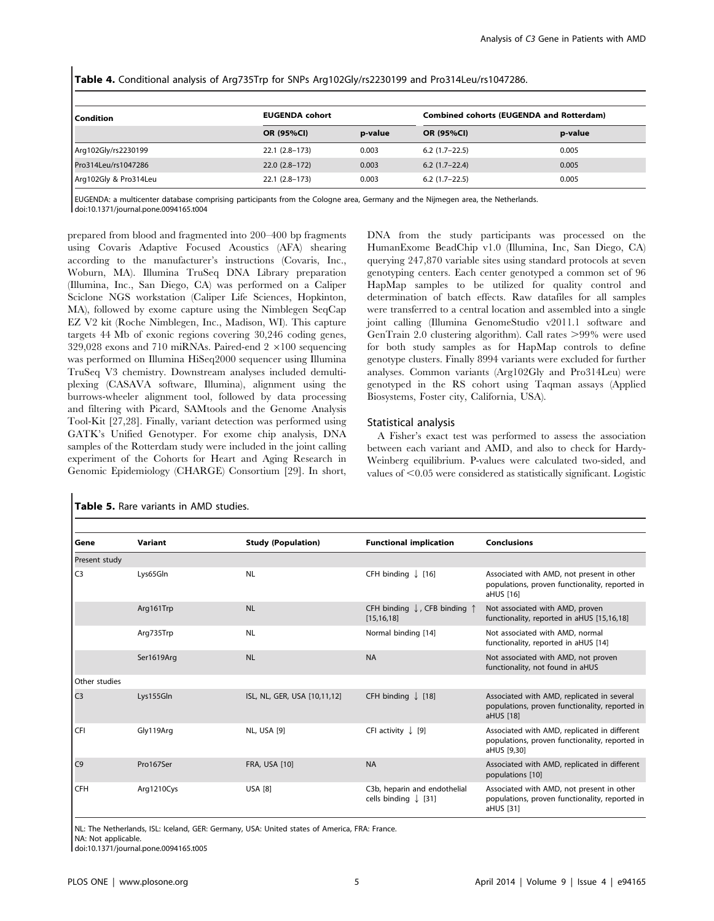| Condition             | <b>EUGENDA cohort</b> |         | <b>Combined cohorts (EUGENDA and Rotterdam)</b> |         |
|-----------------------|-----------------------|---------|-------------------------------------------------|---------|
|                       | <b>OR (95%CI)</b>     | p-value | <b>OR (95%CI)</b>                               | p-value |
| Arg102Gly/rs2230199   | $22.1(2.8-173)$       | 0.003   | $6.2(1.7-22.5)$                                 | 0.005   |
| Pro314Leu/rs1047286   | $22.0(2.8-172)$       | 0.003   | $6.2(1.7-22.4)$                                 | 0.005   |
| Arg102Gly & Pro314Leu | $22.1(2.8-173)$       | 0.003   | $6.2$ (1.7-22.5)                                | 0.005   |

Table 4. Conditional analysis of Arg735Trp for SNPs Arg102Gly/rs2230199 and Pro314Leu/rs1047286.

EUGENDA: a multicenter database comprising participants from the Cologne area, Germany and the Nijmegen area, the Netherlands. doi:10.1371/journal.pone.0094165.t004

prepared from blood and fragmented into 200–400 bp fragments using Covaris Adaptive Focused Acoustics (AFA) shearing according to the manufacturer's instructions (Covaris, Inc., Woburn, MA). Illumina TruSeq DNA Library preparation (Illumina, Inc., San Diego, CA) was performed on a Caliper Sciclone NGS workstation (Caliper Life Sciences, Hopkinton, MA), followed by exome capture using the Nimblegen SeqCap EZ V2 kit (Roche Nimblegen, Inc., Madison, WI). This capture targets 44 Mb of exonic regions covering 30,246 coding genes, 329,028 exons and 710 miRNAs. Paired-end  $2 \times 100$  sequencing was performed on Illumina HiSeq2000 sequencer using Illumina TruSeq V3 chemistry. Downstream analyses included demultiplexing (CASAVA software, Illumina), alignment using the burrows-wheeler alignment tool, followed by data processing and filtering with Picard, SAMtools and the Genome Analysis Tool-Kit [27,28]. Finally, variant detection was performed using GATK's Unified Genotyper. For exome chip analysis, DNA samples of the Rotterdam study were included in the joint calling experiment of the Cohorts for Heart and Aging Research in Genomic Epidemiology (CHARGE) Consortium [29]. In short, DNA from the study participants was processed on the HumanExome BeadChip v1.0 (Illumina, Inc, San Diego, CA) querying 247,870 variable sites using standard protocols at seven genotyping centers. Each center genotyped a common set of 96 HapMap samples to be utilized for quality control and determination of batch effects. Raw datafiles for all samples were transferred to a central location and assembled into a single joint calling (Illumina GenomeStudio v2011.1 software and GenTrain 2.0 clustering algorithm). Call rates  $>99\%$  were used for both study samples as for HapMap controls to define genotype clusters. Finally 8994 variants were excluded for further analyses. Common variants (Arg102Gly and Pro314Leu) were genotyped in the RS cohort using Taqman assays (Applied Biosystems, Foster city, California, USA).

#### Statistical analysis

A Fisher's exact test was performed to assess the association between each variant and AMD, and also to check for Hardy-Weinberg equilibrium. P-values were calculated two-sided, and values of  $<$ 0.05 were considered as statistically significant. Logistic

| Gene           | Variant    | <b>Study (Population)</b>    | <b>Functional implication</b>                                     | <b>Conclusions</b>                                                                                            |
|----------------|------------|------------------------------|-------------------------------------------------------------------|---------------------------------------------------------------------------------------------------------------|
| Present study  |            |                              |                                                                   |                                                                                                               |
| C <sub>3</sub> | Lys65Gln   | <b>NL</b>                    | CFH binding $\downarrow$ [16]                                     | Associated with AMD, not present in other<br>populations, proven functionality, reported in<br>aHUS [16]      |
|                | Arg161Trp  | <b>NL</b>                    | CFH binding $\downarrow$ , CFB binding $\uparrow$<br>[15, 16, 18] | Not associated with AMD, proven<br>functionality, reported in aHUS [15,16,18]                                 |
|                | Arg735Trp  | <b>NL</b>                    | Normal binding [14]                                               | Not associated with AMD, normal<br>functionality, reported in aHUS [14]                                       |
|                | Ser1619Arg | <b>NL</b>                    | <b>NA</b>                                                         | Not associated with AMD, not proven<br>functionality, not found in aHUS                                       |
| Other studies  |            |                              |                                                                   |                                                                                                               |
| C <sub>3</sub> | Lys155Gln  | ISL, NL, GER, USA [10,11,12] | CFH binding $\int$ [18]                                           | Associated with AMD, replicated in several<br>populations, proven functionality, reported in<br>aHUS [18]     |
| CFI            | Gly119Arg  | NL, USA [9]                  | CFI activity $\downarrow$ [9]                                     | Associated with AMD, replicated in different<br>populations, proven functionality, reported in<br>aHUS [9,30] |
| C <sub>9</sub> | Pro167Ser  | <b>FRA, USA [10]</b>         | <b>NA</b>                                                         | Associated with AMD, replicated in different<br>populations [10]                                              |
| <b>CFH</b>     | Arg1210Cys | <b>USA [8]</b>               | C3b, heparin and endothelial<br>cells binding $\downarrow$ [31]   | Associated with AMD, not present in other<br>populations, proven functionality, reported in<br>aHUS [31]      |

Table 5. Rare variants in AMD studies.

NL: The Netherlands, ISL: Iceland, GER: Germany, USA: United states of America, FRA: France.

NA: Not applicable.

doi:10.1371/journal.pone.0094165.t005